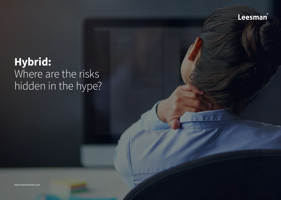

# **Hybrid:** Where are the risks hidden in the hype?

www.leesmanindex.com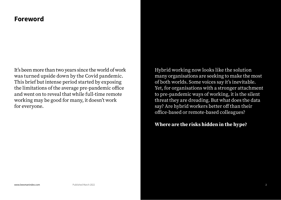## **Foreword**

It's been more than two years since the world of work was turned upside down by the Covid pandemic. This brief but intense period started by exposing the limitations of the average pre-pandemic office and went on to reveal that while full-time remote working may be good for many, it doesn't work for everyone.

Hybrid working now looks like the solution many organisations are seeking to make the most of both worlds. Some voices say it's inevitable. Yet, for organisations with a stronger attachment to pre-pandemic ways of working, it is the silent threat they are dreading. But what does the data say? Are hybrid workers better off than their office-based or remote-based colleagues?

## **Where are the risks hidden in the hype?**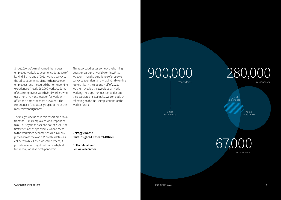Since 2010, we've maintained the largest employee workplace experience database of its kind. By the end of 2021, we had surveyed the office experience of more than 900,000 employees, and measured the home working experience of nearly 280,000 workers. Some of these employees were hybrid workers who used more than one location for work, with office and home the most prevalent. The experience of this latter group is perhaps the most relevant right now.

The insights included in this report are drawn from the 67,000 employees who responded to our surveys in the second half of 2021 – the first time since the pandemic when access to the workplace became possible in many places across the world. While this data was collected while Covid was still present, it provides useful insights into what a hybrid future may look like post-pandemic.

This report addresses some of the burning questions around hybrid working. First, we zoom in on the experience of those we surveyed to understand what hybrid working looked like in the second half of 2021. We then revealed the two sides of hybrid working: the opportunities it provides and the associated risks. Finally, we conclude by reflecting on the future implications for the world of work.

**Dr Peggie Rothe Chief Insights & Research Officer** 

**Dr Madalina Hanc Senior Researcher**





home experience

office experience



respondents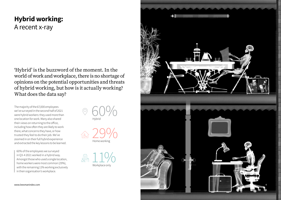## **Hybrid working:**  A recent x-ray

'Hybrid' is the buzzword of the moment. In the world of work and workplace, there is no shortage of opinions on the potential opportunities and threats of hybrid working, but how is it actually working? What does the data say?

The majority of the 67,000 employees we've surveyed in the second half of 2021 were hybrid workers: they used more than one location for work. Many also shared their views on returning to the office, including how often they are likely to work there, what concerns they have, or how trusted they feel to do their job. We've zoomed in on their full hybrid experience and extracted the key lessons to be learned.

60% of the employees we surveyed in Q3-4 2021 worked in a hybrid way. Amongst those who used a single location, home workers were most common (29%), with the remaining 11% working exclusively in their organisation's workplace.







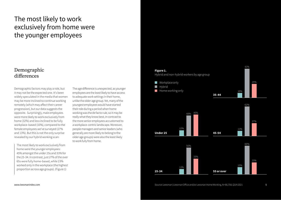## The most likely to work exclusively from home were the younger employees

### Demographic differences

Demographic factors may play a role, but it may not be the expected one. It's been widely speculated in the media that women may be more inclined to continue working remotely (which may affect their career progression), but our data suggests the opposite. Surprisingly, male employees were more likely to work exclusively from home (32%) and less inclined to be fully workplace-based (10%), compared to the female employees we've surveyed (27% and 13%). But this is not the only surprise revealed by our hybrid working scan:

The most likely to work exclusively from home were the younger employees: 45% amongst the under 25s and 33% for the 25-34. In contrast, just 27% of the over 65s were fully home-based, while 23% worked only in the workplace (the highest proportion across age groups). (Figure 1)

The age difference is unexpected, as younger employees are the least likely to have access to adequate work settings in their home, unlike the older age group. Yet, many of the youngest employees would have started their role during a period when home working was the de facto rule, so it may be really what they know best, in contrast to the more senior employees accustomed to a workplace-centric landscape. Moreover, people managers and senior leaders (who generally are more likely to belong to the older age groups) were also the least likely to work fully from home.

### **Figure 1.**

Hybrid and non-hybrid workers by age group



61%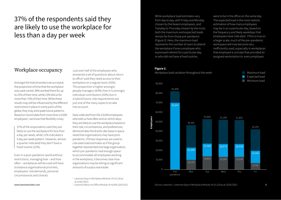## 37% of the respondents said they are likely to use the workplace for less than a day per week

### Workplace occupancy

Amongst the hybrid workers we surveyed, the proportion of time that the workplace was used varied: 38% worked there for up to 25% of their time, while 23% did so for more than 75% of their time. While these results may still be influenced by the different restrictions in place in some parts of the globe, they may anticipate future patterns. Based on recent data from more than 23,000 employees<sup>1</sup>, we know that flexibility is key:

37% of the respondents said they are likely to use the workplace for less than a day per week, while 12% indicated a 5 day per week pattern. However, almost a quarter indicated they don't have a fixed routine (22%).

Even in a post-pandemic world without restrictions, managing how – and how often – workplaces will be used will have to balance organisational priorities, employees' role demands, personal circumstances and choices.

Just over half of the employees who answered a set of questions about return to office<sup>2</sup> said they need access to their workplace on a regular basis (55%). This proportion is higher amongst people managers (64%) than it is amongst individual contributors (50%) but in a hybrid future, role requirements are just one of the many aspects to take into account.

Data collected from the 23,000 employees who told us how often and on which days, they are likely to use the workplace based on their role, circumstances, and preferences, demonstrates the drastic decrease in space need that organisations may have postpandemic. If those responses are used to calculate load estimates as if the group together represented one large organisation, which pre-pandemic had enough space to accommodate all employees working in the workplace, it becomes clear how organisations may be sitting on significant amounts of surplus real estate.

 $1$  Leesman Days in Workplace Module, N=23,120 as

- at 15/02/2022.
- <sup>2</sup> Leesman Return to Office Module, N=8,099, Q3/4 2021.

While workplace load estimates vary from day to day, with Friday and Monday chosen by the fewest employees, and Tuesday to Thursday chosen by the most, both the maximum and expected loads remain far from those pre-pandemic (Figure 2). Here, the maximum load represents the number of users to attend the workplace if every employee who expressed interest for a particular day, or who did not have a fixed routine,

were to be in the office on the same day. The expected load is the most realistic estimation of how many employees may be in on a particular day, based on the frequency and likely weekdays that employees have indicated. If this is true on a larger scale, much of the pre-pandemic workspace will now become very inefficiently used, especially in workplaces that employed a concept that provided an assigned workstation to every employee.

#### **Figure 2.**

Workplace load variation throughout the week





Source: Leesman | Leesman Days in Workplace Module, N=23,120 as at 15/02/2022 6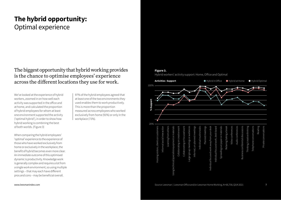## **The hybrid opportunity:**  Optimal experience

The biggest opportunity that hybrid working provides is the chance to optimise employees' experience across the different locations they use for work.

We've looked at the experience of hybrid workers, zoomed in on how well each activity was supported in the office and at home, and calculated the proportion of hybrid employees for whom at least one environment supported the activity ('optimal hybrid'), in order to show how hybrid working is combining the best of both worlds. (Figure 3)

When comparing the hybrid employees' 'optimal' experience to the experience of those who have worked exclusively from home or exclusively in the workplace, the benefit of hybrid becomes even more clear. An immediate outcome of this optimised dynamic is productivity. Knowledge work is generally complex and requires a lot from a single work environment, so using multiple settings – that may each have different pros and cons – may be beneficial overall.

97% of the hybrid employees agreed that at least one of the two environments they used enables them to work productively. This is more than the proportion measured across employees who worked exclusively from home (91%) or only in the workplace (71%).

### **Figure 3.**

Hybrid workers' activity support: Home, Office and Optimal

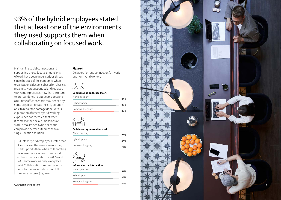93% of the hybrid employees stated that at least one of the environments they used supports them when collaborating on focused work.

### **Figure 4.**

Collaboration and connection for hybrid and non hybrid workers

## )<br>6. - 2

### **Collaborating on focused work**

| Workplace only    | 84% |
|-------------------|-----|
| Hybrid optimal    | 93% |
| Home working only | 89% |



#### **Collaborating on creative work**

| Workplace only    | 76% |
|-------------------|-----|
| Hybrid optimal    | 85% |
| Home working only | 78% |



#### **Informal social interaction**

| Workplace only    | 81% |  |
|-------------------|-----|--|
| Hybrid optimal    | 86% |  |
| Home working only | 54% |  |

8

www.leesmanindex.com

the same pattern. (Figure 4)

single-location solution.

93% of the hybrid employees stated that at least one of the environments they used supports them when collaborating on focused work. Across non-hybrid workers, the proportions are 89% and 84% (home working only, workplace only). Collaboration on creative work and informal social interaction follow

Maintaining social connection and supporting the collective dimensions of work have been under serious threat since the start of the pandemic, when organisational dynamics based on physical proximity were suspended and replaced with remote practices. Now that the return to pre-pandemic habits seems possible, a full-time office scenario may be seen by some organisations as the only solution able to repair the damage done. Yet our exploration of recent hybrid working experience has revealed that when it comes to the social dimensions of work, a maximised hybrid scenario can provide better outcomes than a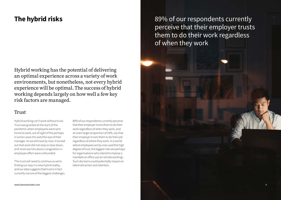## **The hybrid risks**

Hybrid working has the potential of delivering an optimal experience across a variety of work environments, but nonetheless, not every hybrid experience will be optimal. The success of hybrid working depends largely on how well a few key risk factors are managed.

### Trust

Hybrid working can't work without trust. Trust was granted at the start of the pandemic when employees were sent home to work, out of sight of the perhaps in some cases the watchful eye of their manager. As we all know by now, it turned out that work did not stop or slow down, and most worries about a stagnation in employee effort were unfounded.

This trust will need to continue as we're finding our way in a new hybrid reality, and our data suggests that trust is in fact currently not one of the biggest challenges.

89% of our respondents currently perceive that their employer trusts them to do their work regardless of when they work, and an even larger proportion at 93%, say that their employer trusts them to do their job regardless of where they work. In a world where employees are by now used this high degree of trust, the biggest risks are perhaps for organisations who intend to impose a mandate on office use (or remote working). Such decisions could potentially impact on talent attraction and retention.

89% of our respondents currently perceive that their employer trusts them to do their work regardless of when they work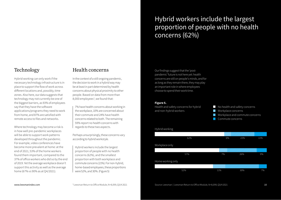### Technology

Hybrid working can only work if the necessary technology infrastructure is in place to support the flow of work across different locations and, possibly, time zones. Also here, our data suggests that technology may not currently be one of the biggest barriers, as 93% of employees say that they have the software applications/programs they need to work from home, and 87% are satisfied with remote access to files and networks.

Where technology may become a risk is in how well pre-pandemic workplaces will be able to support work patterns developed throughout the pandemic. For example, video conferences have become more prevalent at home: at the end of 2021, 53% of the home workers found them important, compared to the 37% of office workers who did so by the end of 2019. Yet the average workplace doesn't support this activity as well as the average home (67% vs 90% as at Q4/2021).

### Health concerns

In the context of a still ongoing pandemic, the decision to work in a hybrid way may be at least in part determined by health concerns about physical proximity to other people. Based on data from more than 8,000 employees<sup>3</sup>, we found that:

7% have health concerns about working in the workplace, 10% are concerned about their commute and 24% have health concerns related to both. The remaining 59% report no health concerns with regards to these two aspects.

Perhaps unsurprisingly, these concerns vary according to hybrid workstyle.

Hybrid workers include the largest proportion of people with no health concerns (62%), and the smallest proportion with both workplace and commute concerns (21%). For non-hybrid, home-based employees, these proportions were 52%, and 30%. (Figure 5)

Our findings suggest that the 'post-

Hybrid workers include the largest

proportion of people with no health

pandemic' future is not here yet: health concerns are still on people's minds, and for as long as they remain there, they may play an important role in where employees choose to spend their work time.

concerns (62%)

### **Figure 5.**

Health and safety concerns for hybrid and non-hybrid workers

- No health and safety concerns **Workplace concerns** U) Workplace and commute concerns
- **Commute concerns**

#### Hybrid working

| 62%               | 6%  | 21% | 11% |
|-------------------|-----|-----|-----|
| Workplace only    |     |     |     |
|                   |     |     |     |
| 57%               | 7%  | 26% | 9%  |
| Home working only |     |     |     |
|                   |     |     |     |
| 52%               | 11% | 30% | 7%  |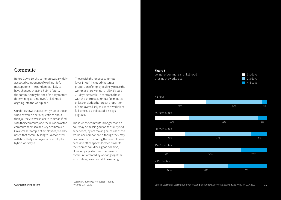### Commute

Before Covid-19, the commute was a widely accepted component of working life for most people. The pandemic is likely to have changed that. In a hybrid future, the commute may be one of the key factors determining an employee's likelihood of going into the workplace.

Our data shows that currently 41% of those who answered a set of questions about their journey to workplace<sup>4</sup> are dissatisfied with their commute, and the duration of the commute seems to be a key dealbreaker. On a smaller sample of employees, we also noted that commute length is associated with how likely employees are to adopt a hybrid workstyle.

Those with the longest commute (over 1 hour) included the largest proportion of employees likely to use the workplace rarely or not at all (45% said 0-1 days per week). In contrast, those with the shortest commute (15 minutes or less) includes the largest proportion of employees likely to use the workplace full-time (35% indicated 4-5 days). (Figure 6)

Those whose commute is longer than an hour may be missing out on the full hybrid experience, by not making much use of the workplace component, although they may be in need of it. Granting these employees access to office spaces located closer to their homes could be a good solution, albeit only a partial one: the sense of community created by working together with colleagues would still be missing.

#### **Figure 5.**

Length of commute and likelihood of using the workplace.



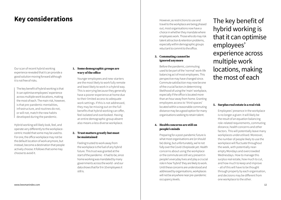## **Key considerations**

Our scan of recent hybrid working experience revealed that it can provide a good solution moving forward although it is not free of risks.

The key benefit of hybrid working is that it can optimise employees' experience across multiple work locations, making the most of each. The main risk, however, is that pre-pandemic mentalities, infrastructure, and routines do not, or will not, match the new habits developed during the pandemic.

Hybrid working will likely look, feel, and operate very differently to the workplacecentric model that some may be used to. For one, the office workplace may not be the default location of work anymore, but instead, become a destination that people actively choose. It follows that some may choose to avoid it.

### **1. Some demographic groups are wary of the office**

Younger employees and new-starters are the most likely to work fully remote and least likely to work in a hybrid way. This is worrying because they generally have a poorer experience at home due to their limited access to adequate work settings. If this is not addressed, they may be missing out on the full benefits that hybrid working can offer, feel isolated and overlooked. Having an entire demographic group absent also means a less diverse workplace.

**2. Trust matters greatly but must be maintained**

Feeling trusted to work away from the workplace is the fuel of any hybrid future. This trust was granted at the start of the pandemic - it had to be, since home working was mandated by many governments across the world - and our data shows that for 9 in 10 employees it still is.

However, as restrictions to use and travel to the workplace are being phased out, most organisations now have a choice in whether they mandate where employees work. Those who do may risk talent attraction & retention problems, especially within demographic groups reluctant to commit to the office.

### **3. Commuting cannot be ignored anymore**

Before the pandemic, commuting used to be part of the 'normal' work-life balancing act of most employees. This perspective may have changed since. Commute satisfaction may now be one of the crucial factors in determining likelihood of using the 'main' workplace, especially if the office is located more than an hour away from home. Granting employees access to 'third spaces' located within a reasonable commuting distance may be a good option for many organisations seeking to retain talent.

### **4. Health concerns are still on people's minds**

Preparing for a post-pandemic future is what most organisations are (or should be) doing, but unfortunately, we're not fully over the Covid-19 episode yet. Health concerns about using the workplace or the commute are still very present in people's everyday lives and play a crucial role in how 'hybrid' they are likely to work. Until these concerns are understood and addressed by organisations, workplaces will not be anywhere near pre-pandemic occupancy levels.

The key benefit of hybrid working is that it can optimise employees' experience across multiple work locations, making the most of each

### **5. Surplus real estate is a real risk**

Employees' presence in the workplace is no longer a given: it will likely be the result of an equation balancing role-related requirements, commuting distance, health concerns and other factors. This will potentially leave many workplaces underutilised. Moreover, the number of people likely to use the workplace will fluctuate throughout the week, with potentially nearempty Mondays and overcrowded Wednesdays. How to manage this surplus real estate, how much to cut, and how much to keep and improve – all of this will have to be thought through properly by each organisation, and decisions may be different from one workplace to the other.